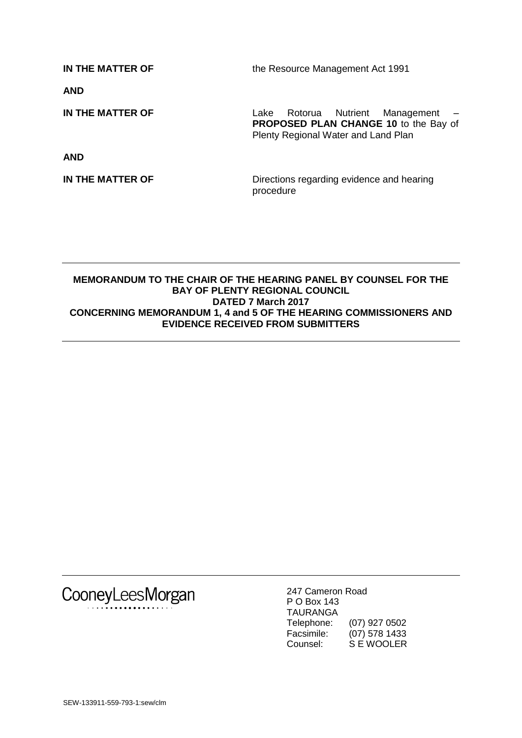**IN THE MATTER OF** the Resource Management Act 1991 **AND IN THE MATTER OF** Lake Rotorua Nutrient Management – **PROPOSED PLAN CHANGE 10** to the Bay of Plenty Regional Water and Land Plan **AND IN THE MATTER OF** Directions regarding evidence and hearing procedure

## **MEMORANDUM TO THE CHAIR OF THE HEARING PANEL BY COUNSEL FOR THE BAY OF PLENTY REGIONAL COUNCIL DATED 7 March 2017 CONCERNING MEMORANDUM 1, 4 and 5 OF THE HEARING COMMISSIONERS AND EVIDENCE RECEIVED FROM SUBMITTERS**

CooneyLeesMorgan

247 Cameron Road P O Box 143 TAURANGA Telephone: (07) 927 0502 Facsimile: (07) 578 1433<br>Counsel: S E WOOLER S E WOOLER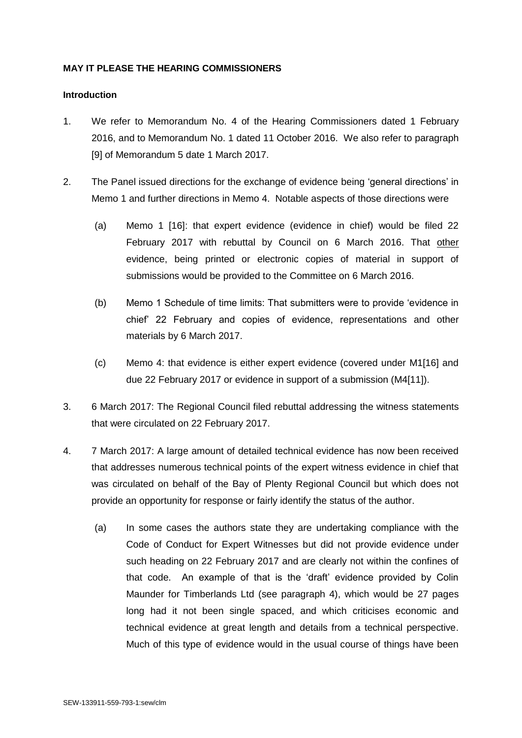## **MAY IT PLEASE THE HEARING COMMISSIONERS**

#### **Introduction**

- 1. We refer to Memorandum No. 4 of the Hearing Commissioners dated 1 February 2016, and to Memorandum No. 1 dated 11 October 2016. We also refer to paragraph [9] of Memorandum 5 date 1 March 2017.
- 2. The Panel issued directions for the exchange of evidence being 'general directions' in Memo 1 and further directions in Memo 4. Notable aspects of those directions were
	- (a) Memo 1 [16]: that expert evidence (evidence in chief) would be filed 22 February 2017 with rebuttal by Council on 6 March 2016. That other evidence, being printed or electronic copies of material in support of submissions would be provided to the Committee on 6 March 2016.
	- (b) Memo 1 Schedule of time limits: That submitters were to provide 'evidence in chief' 22 February and copies of evidence, representations and other materials by 6 March 2017.
	- (c) Memo 4: that evidence is either expert evidence (covered under M1[16] and due 22 February 2017 or evidence in support of a submission (M4[11]).
- 3. 6 March 2017: The Regional Council filed rebuttal addressing the witness statements that were circulated on 22 February 2017.
- 4. 7 March 2017: A large amount of detailed technical evidence has now been received that addresses numerous technical points of the expert witness evidence in chief that was circulated on behalf of the Bay of Plenty Regional Council but which does not provide an opportunity for response or fairly identify the status of the author.
	- (a) In some cases the authors state they are undertaking compliance with the Code of Conduct for Expert Witnesses but did not provide evidence under such heading on 22 February 2017 and are clearly not within the confines of that code. An example of that is the 'draft' evidence provided by Colin Maunder for Timberlands Ltd (see paragraph 4), which would be 27 pages long had it not been single spaced, and which criticises economic and technical evidence at great length and details from a technical perspective. Much of this type of evidence would in the usual course of things have been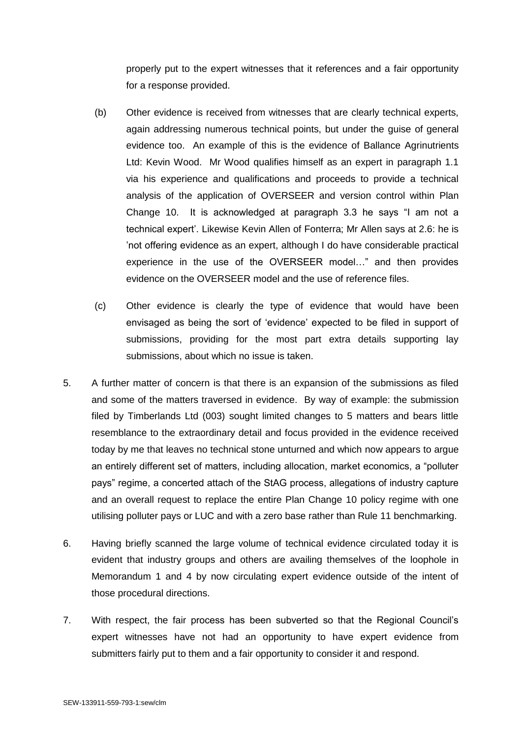properly put to the expert witnesses that it references and a fair opportunity for a response provided.

- (b) Other evidence is received from witnesses that are clearly technical experts, again addressing numerous technical points, but under the guise of general evidence too. An example of this is the evidence of Ballance Agrinutrients Ltd: Kevin Wood. Mr Wood qualifies himself as an expert in paragraph 1.1 via his experience and qualifications and proceeds to provide a technical analysis of the application of OVERSEER and version control within Plan Change 10. It is acknowledged at paragraph 3.3 he says "I am not a technical expert'. Likewise Kevin Allen of Fonterra; Mr Allen says at 2.6: he is 'not offering evidence as an expert, although I do have considerable practical experience in the use of the OVERSEER model…" and then provides evidence on the OVERSEER model and the use of reference files.
- (c) Other evidence is clearly the type of evidence that would have been envisaged as being the sort of 'evidence' expected to be filed in support of submissions, providing for the most part extra details supporting lay submissions, about which no issue is taken.
- 5. A further matter of concern is that there is an expansion of the submissions as filed and some of the matters traversed in evidence. By way of example: the submission filed by Timberlands Ltd (003) sought limited changes to 5 matters and bears little resemblance to the extraordinary detail and focus provided in the evidence received today by me that leaves no technical stone unturned and which now appears to argue an entirely different set of matters, including allocation, market economics, a "polluter pays" regime, a concerted attach of the StAG process, allegations of industry capture and an overall request to replace the entire Plan Change 10 policy regime with one utilising polluter pays or LUC and with a zero base rather than Rule 11 benchmarking.
- 6. Having briefly scanned the large volume of technical evidence circulated today it is evident that industry groups and others are availing themselves of the loophole in Memorandum 1 and 4 by now circulating expert evidence outside of the intent of those procedural directions.
- 7. With respect, the fair process has been subverted so that the Regional Council's expert witnesses have not had an opportunity to have expert evidence from submitters fairly put to them and a fair opportunity to consider it and respond.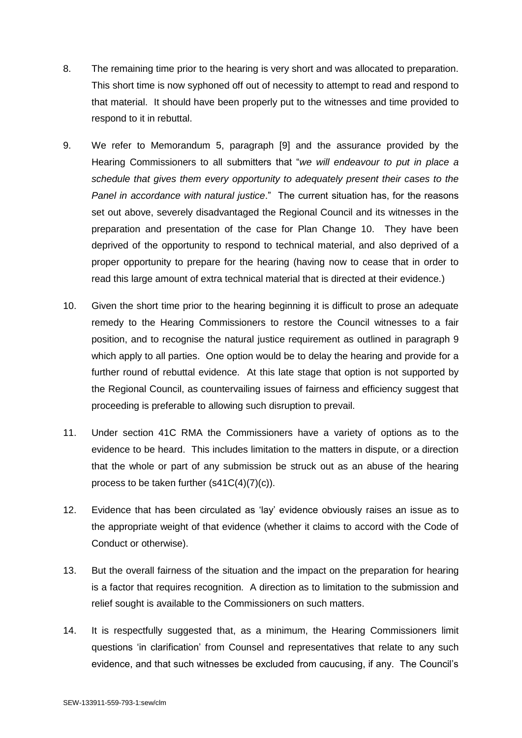- 8. The remaining time prior to the hearing is very short and was allocated to preparation. This short time is now syphoned off out of necessity to attempt to read and respond to that material. It should have been properly put to the witnesses and time provided to respond to it in rebuttal.
- 9. We refer to Memorandum 5, paragraph [9] and the assurance provided by the Hearing Commissioners to all submitters that "*we will endeavour to put in place a schedule that gives them every opportunity to adequately present their cases to the Panel in accordance with natural justice*." The current situation has, for the reasons set out above, severely disadvantaged the Regional Council and its witnesses in the preparation and presentation of the case for Plan Change 10. They have been deprived of the opportunity to respond to technical material, and also deprived of a proper opportunity to prepare for the hearing (having now to cease that in order to read this large amount of extra technical material that is directed at their evidence.)
- 10. Given the short time prior to the hearing beginning it is difficult to prose an adequate remedy to the Hearing Commissioners to restore the Council witnesses to a fair position, and to recognise the natural justice requirement as outlined in paragraph 9 which apply to all parties. One option would be to delay the hearing and provide for a further round of rebuttal evidence. At this late stage that option is not supported by the Regional Council, as countervailing issues of fairness and efficiency suggest that proceeding is preferable to allowing such disruption to prevail.
- 11. Under section 41C RMA the Commissioners have a variety of options as to the evidence to be heard. This includes limitation to the matters in dispute, or a direction that the whole or part of any submission be struck out as an abuse of the hearing process to be taken further (s41C(4)(7)(c)).
- 12. Evidence that has been circulated as 'lay' evidence obviously raises an issue as to the appropriate weight of that evidence (whether it claims to accord with the Code of Conduct or otherwise).
- 13. But the overall fairness of the situation and the impact on the preparation for hearing is a factor that requires recognition. A direction as to limitation to the submission and relief sought is available to the Commissioners on such matters.
- 14. It is respectfully suggested that, as a minimum, the Hearing Commissioners limit questions 'in clarification' from Counsel and representatives that relate to any such evidence, and that such witnesses be excluded from caucusing, if any. The Council's